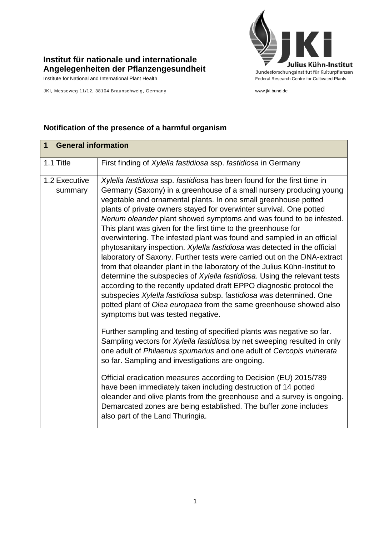

## **Institut für nationale und internationale Angelegenheiten der Pflanzengesundheit**

JKI, Messeweg 11/12, 38104 Braunschweig, Germany www.jki.bund.de

| <b>General information</b><br>$\overline{1}$ |                                                                                                                                                                                                                                                                                                                                                                                                                                                                                                                                                                                                                                                                                                                                                                                                                                                                                                                                                                                                                                                                                       |  |
|----------------------------------------------|---------------------------------------------------------------------------------------------------------------------------------------------------------------------------------------------------------------------------------------------------------------------------------------------------------------------------------------------------------------------------------------------------------------------------------------------------------------------------------------------------------------------------------------------------------------------------------------------------------------------------------------------------------------------------------------------------------------------------------------------------------------------------------------------------------------------------------------------------------------------------------------------------------------------------------------------------------------------------------------------------------------------------------------------------------------------------------------|--|
| 1.1 Title                                    | First finding of Xylella fastidiosa ssp. fastidiosa in Germany                                                                                                                                                                                                                                                                                                                                                                                                                                                                                                                                                                                                                                                                                                                                                                                                                                                                                                                                                                                                                        |  |
| 1.2 Executive<br>summary                     | Xylella fastidiosa ssp. fastidiosa has been found for the first time in<br>Germany (Saxony) in a greenhouse of a small nursery producing young<br>vegetable and ornamental plants. In one small greenhouse potted<br>plants of private owners stayed for overwinter survival. One potted<br>Nerium oleander plant showed symptoms and was found to be infested.<br>This plant was given for the first time to the greenhouse for<br>overwintering. The infested plant was found and sampled in an official<br>phytosanitary inspection. Xylella fastidiosa was detected in the official<br>laboratory of Saxony. Further tests were carried out on the DNA-extract<br>from that oleander plant in the laboratory of the Julius Kühn-Institut to<br>determine the subspecies of Xylella fastidiosa. Using the relevant tests<br>according to the recently updated draft EPPO diagnostic protocol the<br>subspecies Xylella fastidiosa subsp. fastidiosa was determined. One<br>potted plant of Olea europaea from the same greenhouse showed also<br>symptoms but was tested negative. |  |
|                                              | Further sampling and testing of specified plants was negative so far.<br>Sampling vectors for Xylella fastidiosa by net sweeping resulted in only<br>one adult of Philaenus spumarius and one adult of Cercopis vulnerata<br>so far. Sampling and investigations are ongoing.                                                                                                                                                                                                                                                                                                                                                                                                                                                                                                                                                                                                                                                                                                                                                                                                         |  |
|                                              | Official eradication measures according to Decision (EU) 2015/789<br>have been immediately taken including destruction of 14 potted<br>oleander and olive plants from the greenhouse and a survey is ongoing.<br>Demarcated zones are being established. The buffer zone includes<br>also part of the Land Thuringia.                                                                                                                                                                                                                                                                                                                                                                                                                                                                                                                                                                                                                                                                                                                                                                 |  |

## **Notification of the presence of a harmful organism**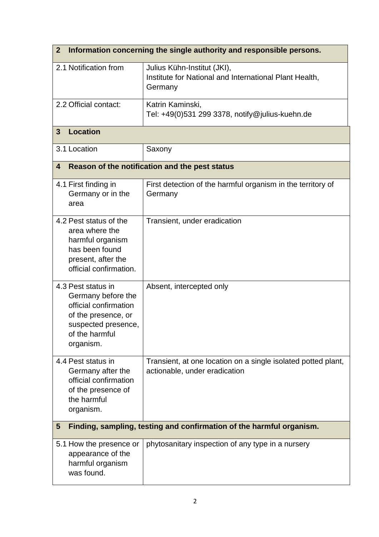| Information concerning the single authority and responsible persons.<br>$\mathbf{2}$                                                           |                                                                                                  |  |  |
|------------------------------------------------------------------------------------------------------------------------------------------------|--------------------------------------------------------------------------------------------------|--|--|
| 2.1 Notification from                                                                                                                          | Julius Kühn-Institut (JKI),<br>Institute for National and International Plant Health,<br>Germany |  |  |
| 2.2 Official contact:                                                                                                                          | Katrin Kaminski,<br>Tel: +49(0)531 299 3378, notify@julius-kuehn.de                              |  |  |
| <b>Location</b><br>$\mathbf{3}$                                                                                                                |                                                                                                  |  |  |
| 3.1 Location                                                                                                                                   | Saxony                                                                                           |  |  |
| Reason of the notification and the pest status<br>4                                                                                            |                                                                                                  |  |  |
| 4.1 First finding in<br>Germany or in the<br>area                                                                                              | First detection of the harmful organism in the territory of<br>Germany                           |  |  |
| 4.2 Pest status of the<br>area where the<br>harmful organism<br>has been found<br>present, after the<br>official confirmation.                 | Transient, under eradication                                                                     |  |  |
| 4.3 Pest status in<br>Germany before the<br>official confirmation<br>of the presence, or<br>suspected presence,<br>of the harmful<br>organism. | Absent, intercepted only                                                                         |  |  |
| 4.4 Pest status in<br>Germany after the<br>official confirmation<br>of the presence of<br>the harmful<br>organism.                             | Transient, at one location on a single isolated potted plant,<br>actionable, under eradication   |  |  |
| Finding, sampling, testing and confirmation of the harmful organism.<br>5                                                                      |                                                                                                  |  |  |
| 5.1 How the presence or<br>appearance of the<br>harmful organism<br>was found.                                                                 | phytosanitary inspection of any type in a nursery                                                |  |  |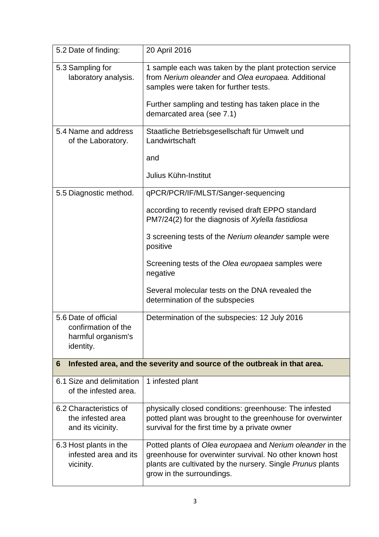| 5.2 Date of finding:                                                           | 20 April 2016                                                                                                                                                                                                                              |  |  |
|--------------------------------------------------------------------------------|--------------------------------------------------------------------------------------------------------------------------------------------------------------------------------------------------------------------------------------------|--|--|
| 5.3 Sampling for<br>laboratory analysis.                                       | 1 sample each was taken by the plant protection service<br>from Nerium oleander and Olea europaea. Additional<br>samples were taken for further tests.<br>Further sampling and testing has taken place in the<br>demarcated area (see 7.1) |  |  |
| 5.4 Name and address                                                           | Staatliche Betriebsgesellschaft für Umwelt und                                                                                                                                                                                             |  |  |
| of the Laboratory.                                                             | Landwirtschaft                                                                                                                                                                                                                             |  |  |
|                                                                                | and                                                                                                                                                                                                                                        |  |  |
|                                                                                | Julius Kühn-Institut                                                                                                                                                                                                                       |  |  |
| 5.5 Diagnostic method.                                                         | qPCR/PCR/IF/MLST/Sanger-sequencing                                                                                                                                                                                                         |  |  |
|                                                                                | according to recently revised draft EPPO standard<br>PM7/24(2) for the diagnosis of Xylella fastidiosa                                                                                                                                     |  |  |
|                                                                                | 3 screening tests of the Nerium oleander sample were<br>positive                                                                                                                                                                           |  |  |
|                                                                                | Screening tests of the Olea europaea samples were<br>negative                                                                                                                                                                              |  |  |
|                                                                                | Several molecular tests on the DNA revealed the<br>determination of the subspecies                                                                                                                                                         |  |  |
| 5.6 Date of official<br>confirmation of the<br>harmful organism's<br>identity. | Determination of the subspecies: 12 July 2016                                                                                                                                                                                              |  |  |
| Infested area, and the severity and source of the outbreak in that area.<br>6  |                                                                                                                                                                                                                                            |  |  |
| 6.1 Size and delimitation<br>of the infested area.                             | 1 infested plant                                                                                                                                                                                                                           |  |  |
| 6.2 Characteristics of<br>the infested area<br>and its vicinity.               | physically closed conditions: greenhouse: The infested<br>potted plant was brought to the greenhouse for overwinter<br>survival for the first time by a private owner                                                                      |  |  |
| 6.3 Host plants in the<br>infested area and its<br>vicinity.                   | Potted plants of Olea europaea and Nerium oleander in the<br>greenhouse for overwinter survival. No other known host<br>plants are cultivated by the nursery. Single Prunus plants<br>grow in the surroundings.                            |  |  |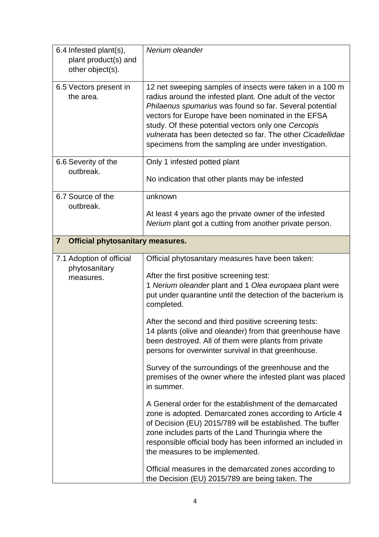| 6.4 Infested plant(s),<br>plant product(s) and<br>other object(s). | Nerium oleander                                                                                                                                                                                                                                                                                                                                                                                                                                                                                                                                                                                                                                                                                                                                                                                                                                                                                                                                                                                                                                                     |  |  |
|--------------------------------------------------------------------|---------------------------------------------------------------------------------------------------------------------------------------------------------------------------------------------------------------------------------------------------------------------------------------------------------------------------------------------------------------------------------------------------------------------------------------------------------------------------------------------------------------------------------------------------------------------------------------------------------------------------------------------------------------------------------------------------------------------------------------------------------------------------------------------------------------------------------------------------------------------------------------------------------------------------------------------------------------------------------------------------------------------------------------------------------------------|--|--|
| 6.5 Vectors present in<br>the area.                                | 12 net sweeping samples of insects were taken in a 100 m<br>radius around the infested plant. One adult of the vector<br>Philaenus spumarius was found so far. Several potential<br>vectors for Europe have been nominated in the EFSA<br>study. Of these potential vectors only one Cercopis<br>vulnerata has been detected so far. The other Cicadellidae<br>specimens from the sampling are under investigation.                                                                                                                                                                                                                                                                                                                                                                                                                                                                                                                                                                                                                                                 |  |  |
| 6.6 Severity of the<br>outbreak.                                   | Only 1 infested potted plant                                                                                                                                                                                                                                                                                                                                                                                                                                                                                                                                                                                                                                                                                                                                                                                                                                                                                                                                                                                                                                        |  |  |
|                                                                    | No indication that other plants may be infested                                                                                                                                                                                                                                                                                                                                                                                                                                                                                                                                                                                                                                                                                                                                                                                                                                                                                                                                                                                                                     |  |  |
| 6.7 Source of the<br>outbreak.                                     | unknown                                                                                                                                                                                                                                                                                                                                                                                                                                                                                                                                                                                                                                                                                                                                                                                                                                                                                                                                                                                                                                                             |  |  |
|                                                                    | At least 4 years ago the private owner of the infested<br>Nerium plant got a cutting from another private person.                                                                                                                                                                                                                                                                                                                                                                                                                                                                                                                                                                                                                                                                                                                                                                                                                                                                                                                                                   |  |  |
| <b>Official phytosanitary measures.</b><br>$\overline{7}$          |                                                                                                                                                                                                                                                                                                                                                                                                                                                                                                                                                                                                                                                                                                                                                                                                                                                                                                                                                                                                                                                                     |  |  |
| 7.1 Adoption of official<br>phytosanitary<br>measures.             | Official phytosanitary measures have been taken:<br>After the first positive screening test:<br>1 Nerium oleander plant and 1 Olea europaea plant were<br>put under quarantine until the detection of the bacterium is<br>completed.<br>After the second and third positive screening tests:<br>14 plants (olive and oleander) from that greenhouse have<br>been destroyed. All of them were plants from private<br>persons for overwinter survival in that greenhouse.<br>Survey of the surroundings of the greenhouse and the<br>premises of the owner where the infested plant was placed<br>in summer.<br>A General order for the establishment of the demarcated<br>zone is adopted. Demarcated zones according to Article 4<br>of Decision (EU) 2015/789 will be established. The buffer<br>zone includes parts of the Land Thuringia where the<br>responsible official body has been informed an included in<br>the measures to be implemented.<br>Official measures in the demarcated zones according to<br>the Decision (EU) 2015/789 are being taken. The |  |  |